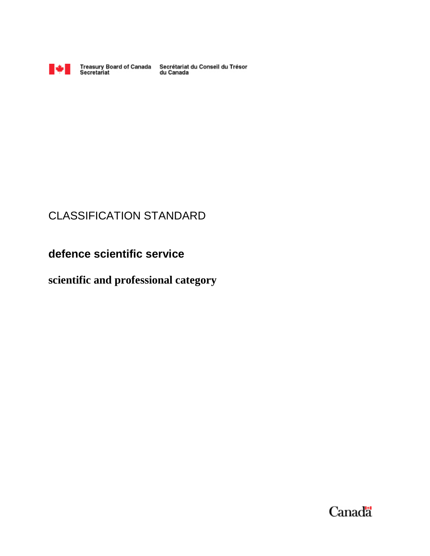

Treasury Board of Canada Secrétariat du Conseil du Trésor<br>Secretariat du Canada

# CLASSIFICATION STANDARD

**defence scientific service** 

# **scientific and professional category**

Canada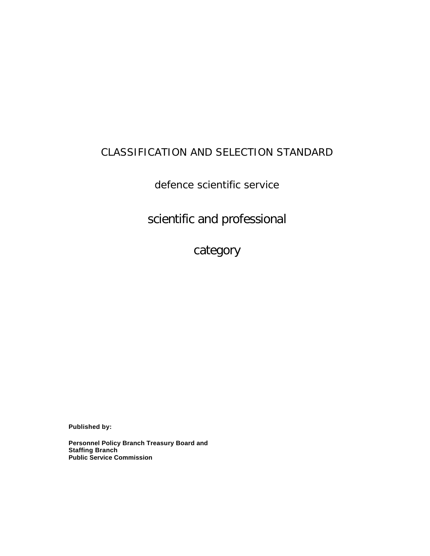# CLASSIFICATION AND SELECTION STANDARD

defence scientific service

scientific and professional

category

**Published by:** 

**Personnel Policy Branch Treasury Board and Staffing Branch Public Service Commission**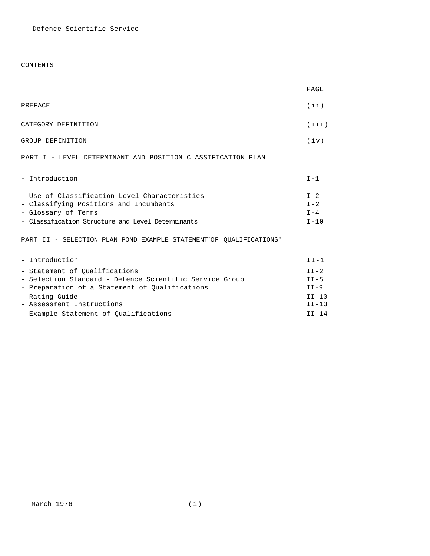# CONTENTS

|                                                                                                                                                                     | PAGE                                      |
|---------------------------------------------------------------------------------------------------------------------------------------------------------------------|-------------------------------------------|
| PREFACE                                                                                                                                                             | (iii)                                     |
| CATEGORY DEFINITION                                                                                                                                                 | (iii)                                     |
| GROUP DEFINITION                                                                                                                                                    | (iv)                                      |
| PART I - LEVEL DETERMINANT AND POSITION CLASSIFICATION PLAN                                                                                                         |                                           |
| - Introduction                                                                                                                                                      | $I - 1$                                   |
| - Use of Classification Level Characteristics<br>- Classifying Positions and Incumbents<br>- Glossary of Terms<br>- Classification Structure and Level Determinants | $T - 2$<br>$I - 2$<br>$T - 4$<br>$I - 10$ |
| PART II - SELECTION PLAN POND EXAMPLE STATEMENT OF OUALIFICATIONS'                                                                                                  |                                           |
| - Introduction                                                                                                                                                      | $TT-1$                                    |
| - Statement of Oualifications<br>- Selection Standard - Defence Scientific Service Group<br>- Preparation of a Statement of Qualifications                          | $TT - 2$<br>$II-S$<br>$II-9$              |
| - Rating Guide<br>- Assessment Instructions                                                                                                                         | $TT-10$<br>$II-13$                        |

- Assessment Instructions
- Example Statement of Qualifications **II-14**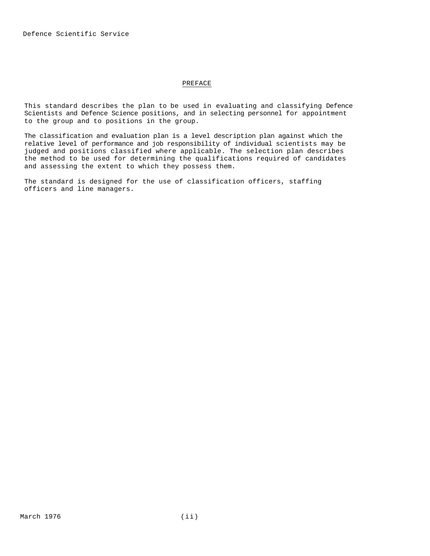# PREFACE

This standard describes the plan to be used in evaluating and classifying Defence Scientists and Defence Science positions, and in selecting personnel for appointment to the group and to positions in the group.

The classification and evaluation plan is a level description plan against which the relative level of performance and job responsibility of individual scientists may be judged and positions classified where applicable. The selection plan describes the method to be used for determining the qualifications required of candidates and assessing the extent to which they possess them.

The standard is designed for the use of classification officers, staffing officers and line managers.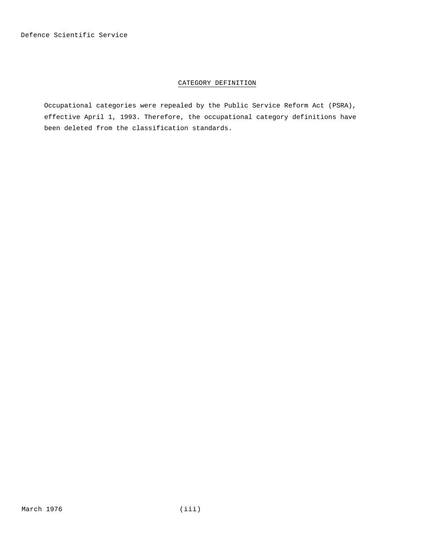# CATEGORY DEFINITION

Occupational categories were repealed by the Public Service Reform Act (PSRA), effective April 1, 1993. Therefore, the occupational category definitions have been deleted from the classification standards.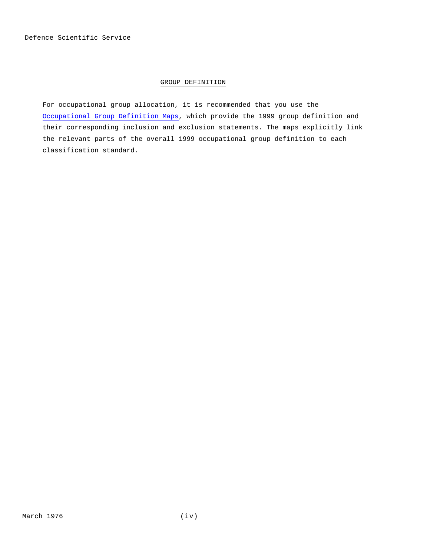# GROUP DEFINITION

For occupational group allocation, it is recommended that you use the Occupational Group Definition Maps, which provide the 1999 group definition and their corresponding inclusion and exclusion statements. The maps explicitly link the relevant parts of the overall 1999 occupational group definition to each classification standard.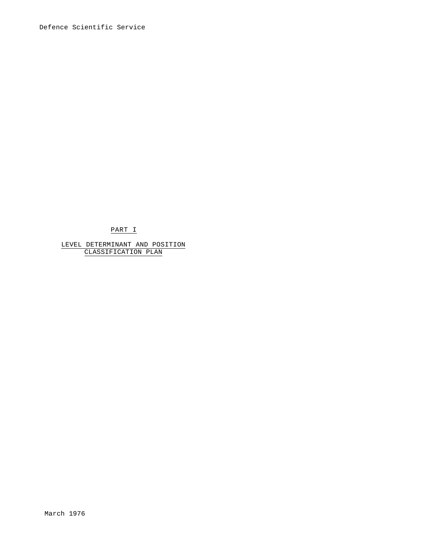PART I

LEVEL DETERMINANT AND POSITION CLASSIFICATION PLAN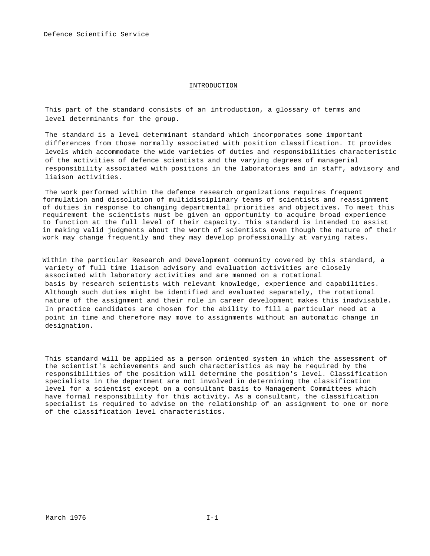# INTRODUCTION

This part of the standard consists of an introduction, a glossary of terms and level determinants for the group.

The standard is a level determinant standard which incorporates some important differences from those normally associated with position classification. It provides levels which accommodate the wide varieties of duties and responsibilities characteristic of the activities of defence scientists and the varying degrees of managerial responsibility associated with positions in the laboratories and in staff, advisory and liaison activities.

The work performed within the defence research organizations requires frequent formulation and dissolution of multidisciplinary teams of scientists and reassignment of duties in response to changing departmental priorities and objectives. To meet this requirement the scientists must be given an opportunity to acquire broad experience to function at the full level of their capacity. This standard is intended to assist in making valid judgments about the worth of scientists even though the nature of their work may change frequently and they may develop professionally at varying rates.

Within the particular Research and Development community covered by this standard, a variety of full time liaison advisory and evaluation activities are closely associated with laboratory activities and are manned on a rotational basis by research scientists with relevant knowledge, experience and capabilities. Although such duties might be identified and evaluated separately, the rotational nature of the assignment and their role in career development makes this inadvisable. In practice candidates are chosen for the ability to fill a particular need at a point in time and therefore may move to assignments without an automatic change in designation.

This standard will be applied as a person oriented system in which the assessment of the scientist's achievements and such characteristics as may be required by the responsibilities of the position will determine the position's level. Classification specialists in the department are not involved in determining the classification level for a scientist except on a consultant basis to Management Committees which have formal responsibility for this activity. As a consultant, the classification specialist is required to advise on the relationship of an assignment to one or more of the classification level characteristics.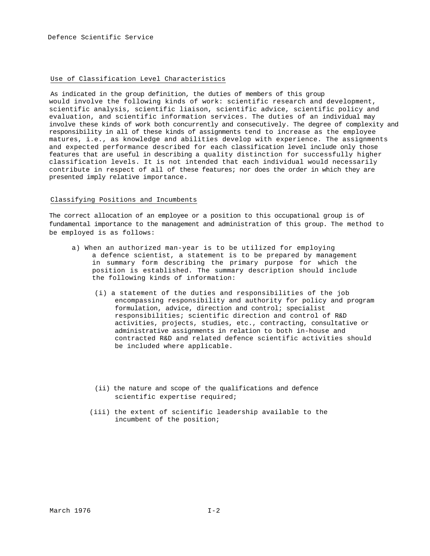#### Use of Classification Level Characteristics

As indicated in the group definition, the duties of members of this group would involve the following kinds of work: scientific research and development, scientific analysis, scientific liaison, scientific advice, scientific policy and evaluation, and scientific information services. The duties of an individual may involve these kinds of work both concurrently and consecutively. The degree of complexity and responsibility in all of these kinds of assignments tend to increase as the employee matures, i.e., as knowledge and abilities develop with experience. The assignments and expected performance described for each classification level include only those features that are useful in describing a quality distinction for successfully higher classification levels. It is not intended that each individual would necessarily contribute in respect of all of these features; nor does the order in which they are presented imply relative importance.

#### Classifying Positions and Incumbents

The correct allocation of an employee or a position to this occupational group is of fundamental importance to the management and administration of this group. The method to be employed is as follows:

- a) When an authorized man-year is to be utilized for employing a defence scientist, a statement is to be prepared by management in summary form describing the primary purpose for which the position is established. The summary description should include the following kinds of information:
	- (i) a statement of the duties and responsibilities of the job encompassing responsibility and authority for policy and program formulation, advice, direction and control; specialist responsibilities; scientific direction and control of R&D activities, projects, studies, etc., contracting, consultative or administrative assignments in relation to both in-house and contracted R&D and related defence scientific activities should be included where applicable.
	- (ii) the nature and scope of the qualifications and defence scientific expertise required;
	- (iii) the extent of scientific leadership available to the incumbent of the position;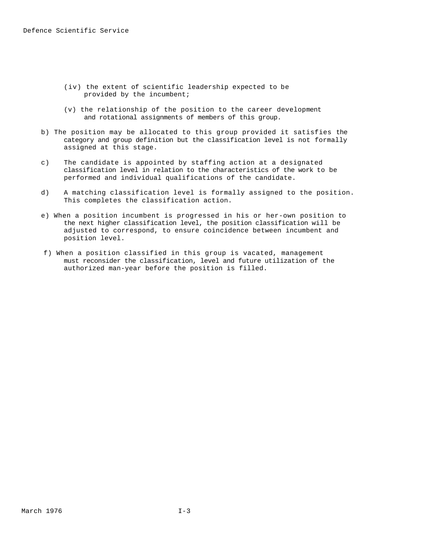- (iv) the extent of scientific leadership expected to be provided by the incumbent;
- (v) the relationship of the position to the career development and rotational assignments of members of this group.
- b) The position may be allocated to this group provided it satisfies the category and group definition but the classification level is not formally assigned at this stage.
- c) The candidate is appointed by staffing action at a designated classification level in relation to the characteristics of the work to be performed and individual qualifications of the candidate.
- d) A matching classification level is formally assigned to the position. This completes the classification action.
- e) When a position incumbent is progressed in his or her-own position to the next higher classification level, the position classification will be adjusted to correspond, to ensure coincidence between incumbent and position level.
- f) When a position classified in this group is vacated, management must reconsider the classification, level and future utilization of the authorized man-year before the position is filled.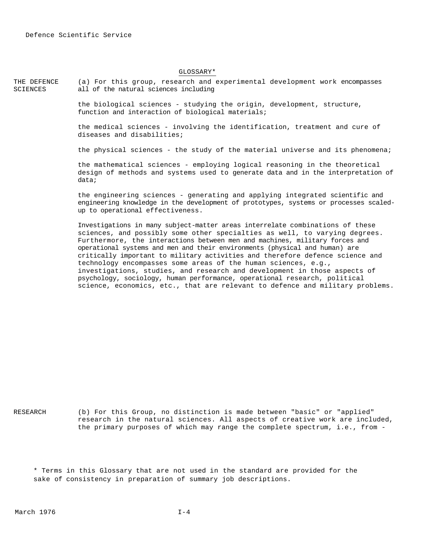#### GLOSSARY\*

THE DEFENCE **SCIENCES** (a) For this group, research and experimental development work encompasses all of the natural sciences including

> the biological sciences - studying the origin, development, structure, function and interaction of biological materials;

the medical sciences - involving the identification, treatment and cure of diseases and disabilities;

the physical sciences - the study of the material universe and its phenomena;

the mathematical sciences - employing logical reasoning in the theoretical design of methods and systems used to generate data and in the interpretation of data;

the engineering sciences - generating and applying integrated scientific and engineering knowledge in the development of prototypes, systems or processes scaledup to operational effectiveness.

Investigations in many subject-matter areas interrelate combinations of these sciences, and possibly some other specialties as well, to varying degrees. Furthermore, the interactions between men and machines, military forces and operational systems and men and their environments (physical and human) are critically important to military activities and therefore defence science and technology encompasses some areas of the human sciences, e.g., investigations, studies, and research and development in those aspects of psychology, sociology, human performance, operational research, political science, economics, etc., that are relevant to defence and military problems.

RESEARCH (b) For this Group, no distinction is made between "basic" or "applied" research in the natural sciences. All aspects of creative work are included, the primary purposes of which may range the complete spectrum, i.e., from -

\* Terms in this Glossary that are not used in the standard are provided for the sake of consistency in preparation of summary job descriptions.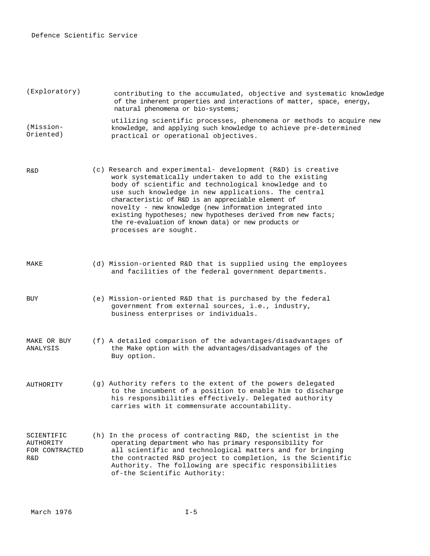| (Exploratory)          | contributing to the accumulated, objective and systematic knowledge<br>of the inherent properties and interactions of matter, space, energy,<br>natural phenomena or bio-systems; |
|------------------------|-----------------------------------------------------------------------------------------------------------------------------------------------------------------------------------|
| (Mission-<br>Oriented) | utilizing scientific processes, phenomena or methods to acquire new<br>knowledge, and applying such knowledge to achieve pre-determined<br>practical or operational objectives.   |

- R&D (c) Research and experimental- development (R&D) is creative work systematically undertaken to add to the existing body of scientific and technological knowledge and to use such knowledge in new applications. The central characteristic of R&D is an appreciable element of novelty - new knowledge (new information integrated into existing hypotheses; new hypotheses derived from new facts; the re-evaluation of known data) or new products or processes are sought.
- 
- MAKE (d) Mission-oriented R&D that is supplied using the employees and facilities of the federal government departments.
- BUY (e) Mission-oriented R&D that is purchased by the federal government from external sources, i.e., industry, business enterprises or individuals.
- MAKE OR BUY ANALYSIS (f) A detailed comparison of the advantages/disadvantages of the Make option with the advantages/disadvantages of the Buy option.
- AUTHORITY (g) Authority refers to the extent of the powers delegated to the incumbent of a position to enable him to discharge his responsibilities effectively. Delegated authority carries with it commensurate accountability.
- SCIENTIFIC AUTHOR TTY FOR CONTRACTED R&D (h) In the process of contracting R&D, the scientist in the operating department who has primary responsibility for all scientific and technological matters and for bringing the contracted R&D project to completion, is the Scientific Authority. The following are specific responsibilities of-the Scientific Authority: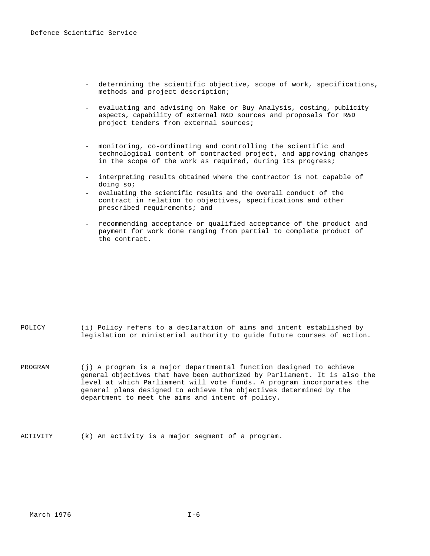- determining the scientific objective, scope of work, specifications, methods and project description;
- evaluating and advising on Make or Buy Analysis, costing, publicity aspects, capability of external R&D sources and proposals for R&D project tenders from external sources;
- monitoring, co-ordinating and controlling the scientific and technological content of contracted project, and approving changes in the scope of the work as required, during its progress;
- interpreting results obtained where the contractor is not capable of doing so;
- evaluating the scientific results and the overall conduct of the contract in relation to objectives, specifications and other prescribed requirements; and
- recommending acceptance or qualified acceptance of the product and payment for work done ranging from partial to complete product of the contract.

| POLICY |  |  |  |  |  |  | (i) Policy refers to a declaration of aims and intent established by    |  |  |
|--------|--|--|--|--|--|--|-------------------------------------------------------------------------|--|--|
|        |  |  |  |  |  |  | legislation or ministerial authority to guide future courses of action. |  |  |

- PROGRAM (j) A program is a major departmental function designed to achieve general objectives that have been authorized by Parliament. It is also the level at which Parliament will vote funds. A program incorporates the general plans designed to achieve the objectives determined by the department to meet the aims and intent of policy.
- ACTIVITY (k) An activity is a major segment of a program.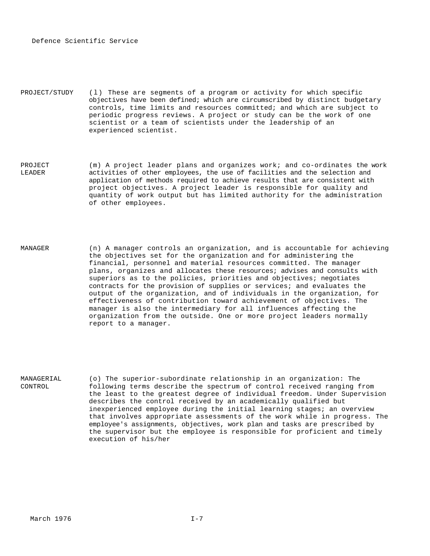PROJECT/STUDY (l) These are segments of a program or activity for which specific objectives have been defined; which are circumscribed by distinct budgetary controls, time limits and resources committed; and which are subject to periodic progress reviews. A project or study can be the work of one scientist or a team of scientists under the leadership of an experienced scientist.

PROJECT LEADER (m) A project leader plans and organizes work; and co-ordinates the work activities of other employees, the use of facilities and the selection and application of methods required to achieve results that are consistent with project objectives. A project leader is responsible for quality and quantity of work output but has limited authority for the administration of other employees.

MANAGER (n) A manager controls an organization, and is accountable for achieving the objectives set for the organization and for administering the financial, personnel and material resources committed. The manager plans, organizes and allocates these resources; advises and consults with superiors as to the policies, priorities and objectives; negotiates contracts for the provision of supplies or services; and evaluates the output of the organization, and of individuals in the organization, for effectiveness of contribution toward achievement of objectives. The manager is also the intermediary for all influences affecting the organization from the outside. One or more project leaders normally report to a manager.

MANAGERIAL CONTROL (o) The superior-subordinate relationship in an organization: The following terms describe the spectrum of control received ranging from the least to the greatest degree of individual freedom. Under Supervision describes the control received by an academically qualified but inexperienced employee during the initial learning stages; an overview that involves appropriate assessments of the work while in progress. The employee's assignments, objectives, work plan and tasks are prescribed by the supervisor but the employee is responsible for proficient and timely execution of his/her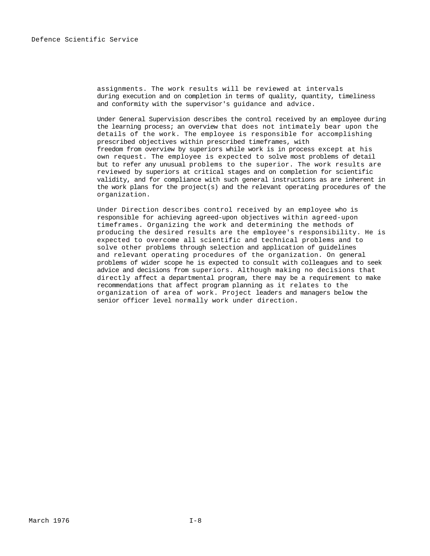assignments. The work results will be reviewed at intervals during execution and on completion in terms of quality, quantity, timeliness and conformity with the supervisor's guidance and advice.

Under General Supervision describes the control received by an employee during the learning process; an overview that does not intimately bear upon the details of the work. The employee is responsible for accomplishing prescribed objectives within prescribed timeframes, with freedom from overview by superiors while work is in process except at his own request. The employee is expected to solve most problems of detail but to refer any unusual problems to the superior. The work results are reviewed by superiors at critical stages and on completion for scientific validity, and for compliance with such general instructions as are inherent in the work plans for the project(s) and the relevant operating procedures of the organization.

Under Direction describes control received by an employee who is responsible for achieving agreed-upon objectives within agreed-upon timeframes. Organizing the work and determining the methods of producing the desired results are the employee's responsibility. He is expected to overcome all scientific and technical problems and to solve other problems through selection and application of guidelines and relevant operating procedures of the organization. On general problems of wider scope he is expected to consult with colleagues and to seek advice and decisions from superiors. Although making no decisions that directly affect a departmental program, there may be a requirement to make recommendations that affect program planning as it relates to the organization of area of work. Project leaders and managers below the senior officer level normally work under direction.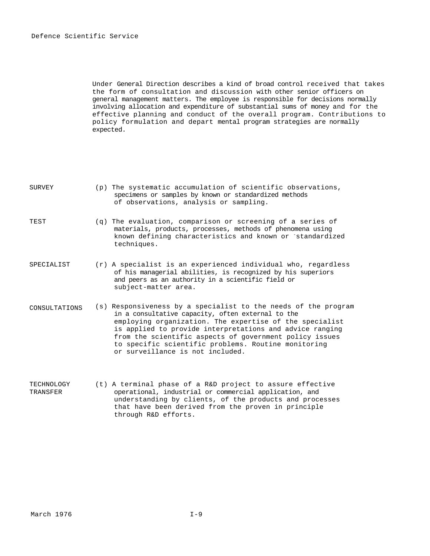Under General Direction describes a kind of broad control received that takes the form of consultation and discussion with other senior officers on general management matters. The employee is responsible for decisions normally involving allocation and expenditure of substantial sums of money and for the effective planning and conduct of the overall program. Contributions to policy formulation and depart mental program strategies are normally expected.

| <b>SURVEY</b> | (p) The systematic accumulation of scientific observations,<br>specimens or samples by known or standardized methods<br>of observations, analysis or sampling.                                                                                                                                                                                                                                   |
|---------------|--------------------------------------------------------------------------------------------------------------------------------------------------------------------------------------------------------------------------------------------------------------------------------------------------------------------------------------------------------------------------------------------------|
| TEST          | $(q)$ The evaluation, comparison or screening of a series of<br>materials, products, processes, methods of phenomena using<br>known defining characteristics and known or standardized<br>techniques.                                                                                                                                                                                            |
| SPECIALIST    | $(r)$ A specialist is an experienced individual who, regardless<br>of his managerial abilities, is recognized by his superiors<br>and peers as an authority in a scientific field or<br>subject-matter area.                                                                                                                                                                                     |
| CONSULTATIONS | (s) Responsiveness by a specialist to the needs of the program<br>in a consultative capacity, often external to the<br>employing organization. The expertise of the specialist<br>is applied to provide interpretations and advice ranging<br>from the scientific aspects of government policy issues<br>to specific scientific problems. Routine monitoring<br>or surveillance is not included. |

TECHNOLOGY TRANSFER (t) A terminal phase of a R&D project to assure effective operational, industrial or commercial application, and understanding by clients, of the products and processes that have been derived from the proven in principle through R&D efforts.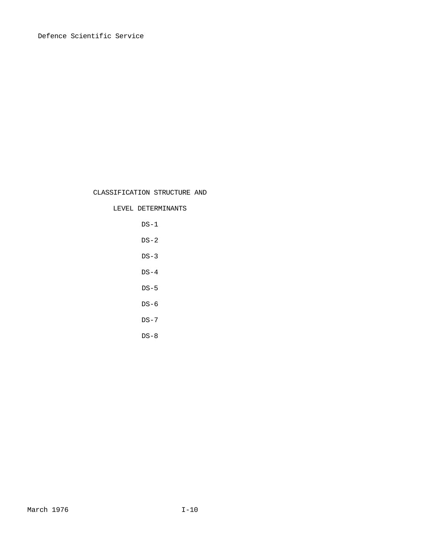# CLASSIFICATION STRUCTURE AND

# LEVEL DETERMINANTS

 $DS-1$  $DS-2$  $DS-3$  $DS-4$  $DS-5$ DS-6 DS-7  $DS-8$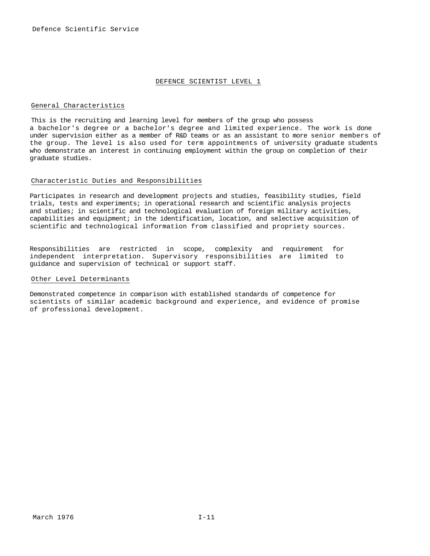## DEFENCE SCIENTIST LEVEL 1

#### General Characteristics

This is the recruiting and learning level for members of the group who possess a bachelor's degree or a bachelor's degree and limited experience. The work is done under supervision either as a member of R&D teams or as an assistant to more senior members of the group. The level is also used for term appointments of university graduate students who demonstrate an interest in continuing employment within the group on completion of their graduate studies.

# Characteristic Duties and Responsibilities

Participates in research and development projects and studies, feasibility studies, field trials, tests and experiments; in operational research and scientific analysis projects and studies; in scientific and technological evaluation of foreign military activities, capabilities and equipment; in the identification, location, and selective acquisition of scientific and technological information from classified and propriety sources.

Responsibilities are restricted in scope, complexity and requirement for independent interpretation. Supervisory responsibilities are limited to guidance and supervision of technical or support staff.

#### Other Level Determinants

Demonstrated competence in comparison with established standards of competence for scientists of similar academic background and experience, and evidence of promise of professional development.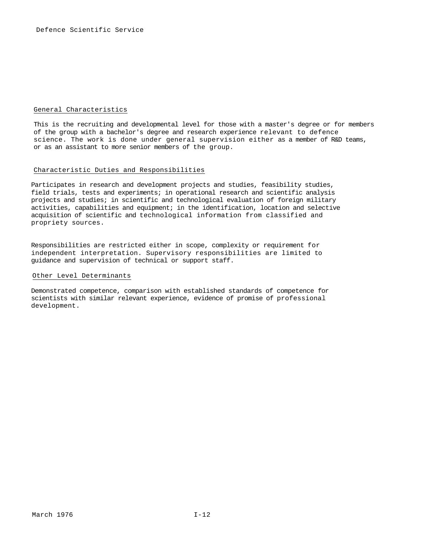### General Characteristics

This is the recruiting and developmental level for those with a master's degree or for members of the group with a bachelor's degree and research experience relevant to defence science. The work is done under general supervision either as a member of R&D teams, or as an assistant to more senior members of the group.

### Characteristic Duties and Responsibilities

Participates in research and development projects and studies, feasibility studies, field trials, tests and experiments; in operational research and scientific analysis projects and studies; in scientific and technological evaluation of foreign military activities, capabilities and equipment; in the identification, location and selective acquisition of scientific and technological information from classified and propriety sources.

Responsibilities are restricted either in scope, complexity or requirement for independent interpretation. Supervisory responsibilities are limited to guidance and supervision of technical or support staff.

#### Other Level Determinants

Demonstrated competence, comparison with established standards of competence for scientists with similar relevant experience, evidence of promise of professional development.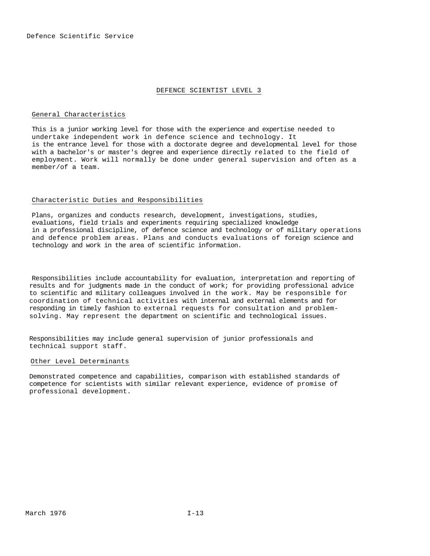#### DEFENCE SCIENTIST LEVEL 3

# General Characteristics

This is a junior working level for those with the experience and expertise needed to undertake independent work in defence science and technology. It is the entrance level for those with a doctorate degree and developmental level for those with a bachelor's or master's degree and experience directly related to the field of employment. Work will normally be done under general supervision and often as a member/of a team.

## Characteristic Duties and Responsibilities

Plans, organizes and conducts research, development, investigations, studies, evaluations, field trials and experiments requiring specialized knowledge in a professional discipline, of defence science and technology or of military operations and defence problem areas. Plans and conducts evaluations of foreign science and technology and work in the area of scientific information.

Responsibilities include accountability for evaluation, interpretation and reporting of results and for judgments made in the conduct of work; for providing professional advice to scientific and military colleagues involved in the work. May be responsible for coordination of technical activities with internal and external elements and for responding in timely fashion to external requests for consultation and problemsolving. May represent the department on scientific and technological issues.

Responsibilities may include general supervision of junior professionals and technical support staff.

#### Other Level Determinants

Demonstrated competence and capabilities, comparison with established standards of competence for scientists with similar relevant experience, evidence of promise of professional development.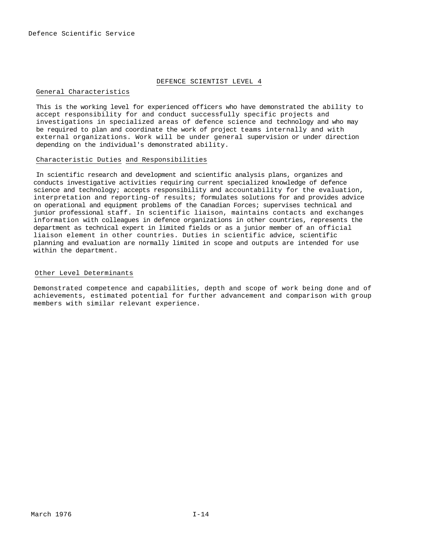## DEFENCE SCIENTIST LEVEL 4

# General Characteristics

This is the working level for experienced officers who have demonstrated the ability to accept responsibility for and conduct successfully specific projects and investigations in specialized areas of defence science and technology and who may be required to plan and coordinate the work of project teams internally and with external organizations. Work will be under general supervision or under direction depending on the individual's demonstrated ability.

#### Characteristic Duties and Responsibilities

In scientific research and development and scientific analysis plans, organizes and conducts investigative activities requiring current specialized knowledge of defence science and technology; accepts responsibility and accountability for the evaluation, interpretation and reporting-of results; formulates solutions for and provides advice on operational and equipment problems of the Canadian Forces; supervises technical and junior professional staff. In scientific liaison, maintains contacts and exchanges information with colleagues in defence organizations in other countries, represents the department as technical expert in limited fields or as a junior member of an official liaison element in other countries. Duties in scientific advice, scientific planning and evaluation are normally limited in scope and outputs are intended for use within the department.

### Other Level Determinants

Demonstrated competence and capabilities, depth and scope of work being done and of achievements, estimated potential for further advancement and comparison with group members with similar relevant experience.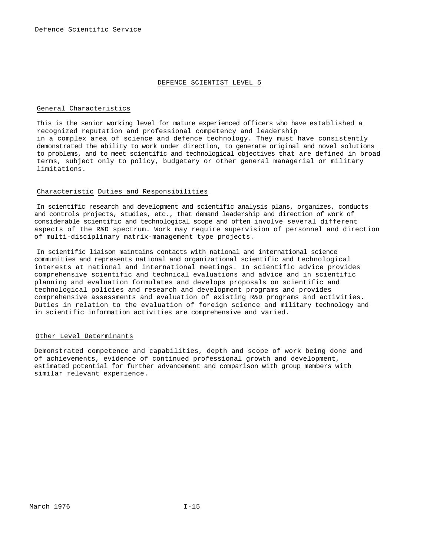#### DEFENCE SCIENTIST LEVEL 5

#### General Characteristics

This is the senior working level for mature experienced officers who have established a recognized reputation and professional competency and leadership in a complex area of science and defence technology. They must have consistently demonstrated the ability to work under direction, to generate original and novel solutions to problems, and to meet scientific and technological objectives that are defined in broad terms, subject only to policy, budgetary or other general managerial or military limitations.

#### Characteristic Duties and Responsibilities

In scientific research and development and scientific analysis plans, organizes, conducts and controls projects, studies, etc., that demand leadership and direction of work of considerable scientific and technological scope and often involve several different aspects of the R&D spectrum. Work may require supervision of personnel and direction of multi-disciplinary matrix-management type projects.

In scientific liaison maintains contacts with national and international science communities and represents national and organizational scientific and technological interests at national and international meetings. In scientific advice provides comprehensive scientific and technical evaluations and advice and in scientific planning and evaluation formulates and develops proposals on scientific and technological policies and research and development programs and provides comprehensive assessments and evaluation of existing R&D programs and activities. Duties in relation to the evaluation of foreign science and military technology and in scientific information activities are comprehensive and varied.

# Other Level Determinants

Demonstrated competence and capabilities, depth and scope of work being done and of achievements, evidence of continued professional growth and development, estimated potential for further advancement and comparison with group members with similar relevant experience.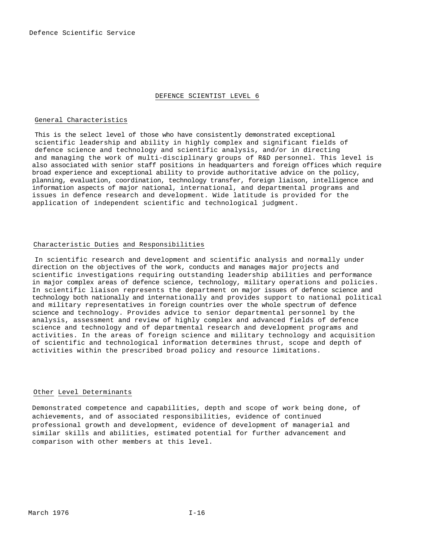#### DEFENCE SCIENTIST LEVEL 6

#### General Characteristics

This is the select level of those who have consistently demonstrated exceptional scientific leadership and ability in highly complex and significant fields of defence science and technology and scientific analysis, and/or in directing and managing the work of multi-disciplinary groups of R&D personnel. This level is also associated with senior staff positions in headquarters and foreign offices which require broad experience and exceptional ability to provide authoritative advice on the policy, planning, evaluation, coordination, technology transfer, foreign liaison, intelligence and information aspects of major national, international, and departmental programs and issues in defence research and development. Wide latitude is provided for the application of independent scientific and technological judgment.

### Characteristic Duties and Responsibilities

In scientific research and development and scientific analysis and normally under direction on the objectives of the work, conducts and manages major projects and scientific investigations requiring outstanding leadership abilities and performance in major complex areas of defence science, technology, military operations and policies. In scientific liaison represents the department on major issues of defence science and technology both nationally and internationally and provides support to national political and military representatives in foreign countries over the whole spectrum of defence science and technology. Provides advice to senior departmental personnel by the analysis, assessment and review of highly complex and advanced fields of defence science and technology and of departmental research and development programs and activities. In the areas of foreign science and military technology and acquisition of scientific and technological information determines thrust, scope and depth of activities within the prescribed broad policy and resource limitations.

#### Other Level Determinants

Demonstrated competence and capabilities, depth and scope of work being done, of achievements, and of associated responsibilities, evidence of continued professional growth and development, evidence of development of managerial and similar skills and abilities, estimated potential for further advancement and comparison with other members at this level.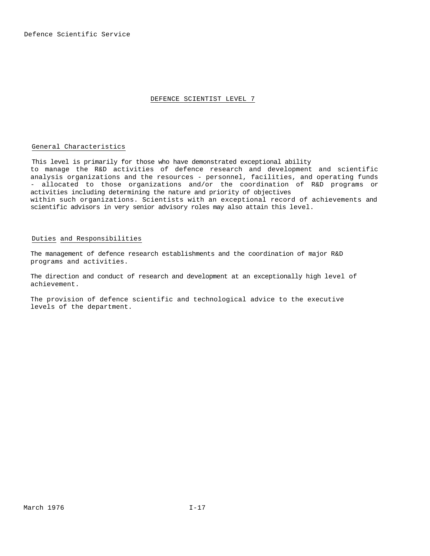#### DEFENCE SCIENTIST LEVEL 7

# General Characteristics

This level is primarily for those who have demonstrated exceptional ability to manage the R&D activities of defence research and development and scientific analysis organizations and the resources - personnel, facilities, and operating funds - allocated to those organizations and/or the coordination of R&D programs or activities including determining the nature and priority of objectives within such organizations. Scientists with an exceptional record of achievements and scientific advisors in very senior advisory roles may also attain this level.

# Duties and Responsibilities

The management of defence research establishments and the coordination of major R&D programs and activities.

The direction and conduct of research and development at an exceptionally high level of achievement.

The provision of defence scientific and technological advice to the executive levels of the department.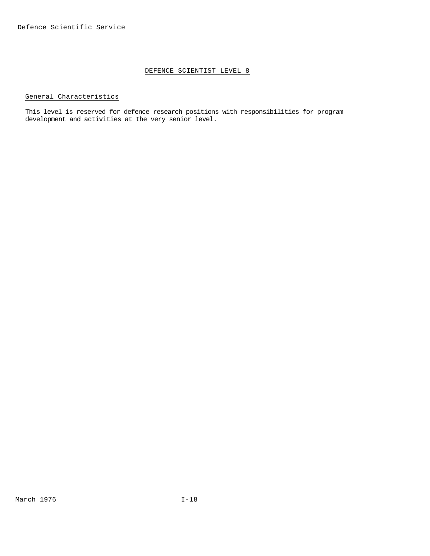# DEFENCE SCIENTIST LEVEL 8

# General Characteristics

This level is reserved for defence research positions with responsibilities for program development and activities at the very senior level.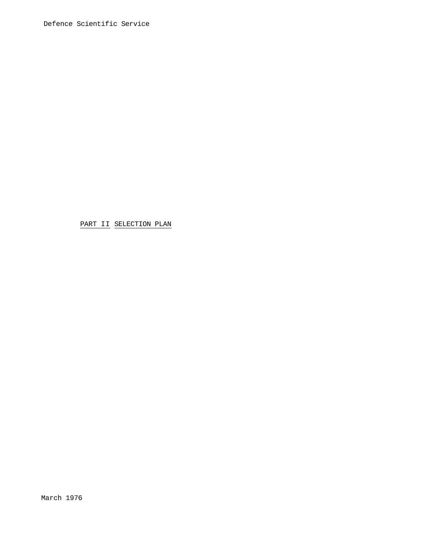PART II SELECTION PLAN

March 1976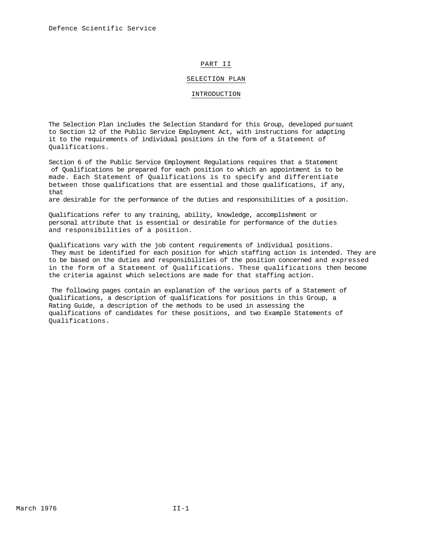## PART II

#### SELECTION PLAN

#### INTRODUCTION

The Selection Plan includes the Selection Standard for this Group, developed pursuant to Section 12 of the Public Service Employment Act, with instructions for adapting it to the requirements of individual positions in the form of a Statement of Qualifications.

Section 6 of the Public Service Employment Regulations requires that a Statement of Qualifications be prepared for each position to which an appointment is to be made. Each Statement of Qualifications is to specify and differentiate between those qualifications that are essential and those qualifications, if any, that

are desirable for the performance of the duties and responsibilities of a position.

Qualifications refer to any training, ability, knowledge, accomplishment or personal attribute that is essential or desirable for performance of the duties and responsibilities of a position.

Qualifications vary with the job content requirements of individual positions. They must be identified for each position for which staffing action is intended. They are to be based on the duties and responsibilities of the position concerned and expressed in the form of a Statement of Qualifications. These qualifications then become the criteria against which selections are made for that staffing action.

The following pages contain an explanation of the various parts of a Statement of Qualifications, a description of qualifications for positions in this Group, a Rating Guide, a description of the methods to be used in assessing the qualifications of candidates for these positions, and two Example Statements of Qualifications.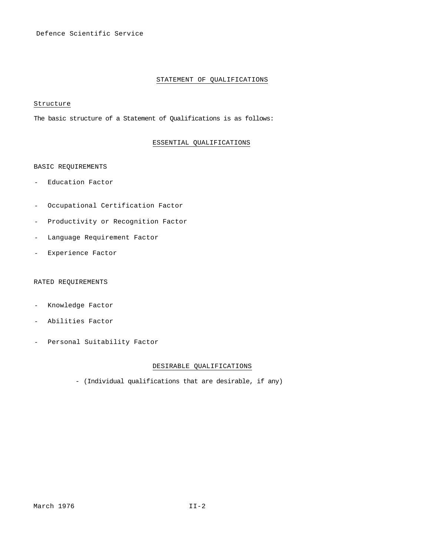# STATEMENT OF QUALIFICATIONS

# Structure

The basic structure of a Statement of Qualifications is as follows:

# ESSENTIAL QUALIFICATIONS

#### BASIC REQUIREMENTS

- Education Factor
- Occupational Certification Factor
- Productivity or Recognition Factor
- Language Requirement Factor
- Experience Factor

# RATED REQUIREMENTS

- Knowledge Factor
- Abilities Factor
- Personal Suitability Factor

# DESIRABLE QUALIFICATIONS

- (Individual qualifications that are desirable, if any)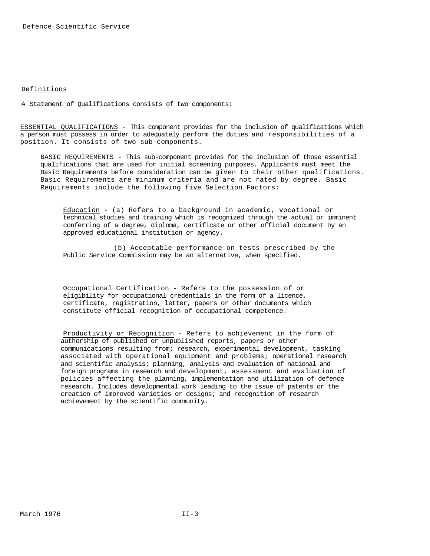# Definitions

A Statement of Qualifications consists of two components:

ESSENTIAL QUALIFICATIONS - This component provides for the inclusion of qualifications which a person must possess in order to adequately perform the duties and responsibilities of a position. It consists of two sub-components.

BASIC REQUIREMENTS - This sub-component provides for the inclusion of those essential qualifications that are used for initial screening purposes. Applicants must meet the Basic Requirements before consideration can be given to their other qualifications. Basic Requirements are minimum criteria and are not rated by degree. Basic Requirements include the following five Selection Factors:

Education - (a) Refers to a background in academic, vocational or technical studies and training which is recognized through the actual or imminent conferring of a degree, diploma, certificate or other official document by an approved educational institution or agency.

(b) Acceptable performance on tests prescribed by the Public Service Commission may be an alternative, when specified.

Occupational Certification - Refers to the possession of or eligibility for occupational credentials in the form of a licence, certificate, registration, letter, papers or other documents which constitute official recognition of occupational competence.

Productivity or Recognition - Refers to achievement in the form of authorship of published or unpublished reports, papers or other communications resulting from; research, experimental development, tasking associated with operational equipment and problems; operational research and scientific analysis; planning, analysis and evaluation of national and foreign programs in research and development, assessment and evaluation of policies affecting the planning, implementation and utilization of defence research. Includes developmental work leading to the issue of patents or the creation of improved varieties or designs; and recognition of research achievement by the scientific community.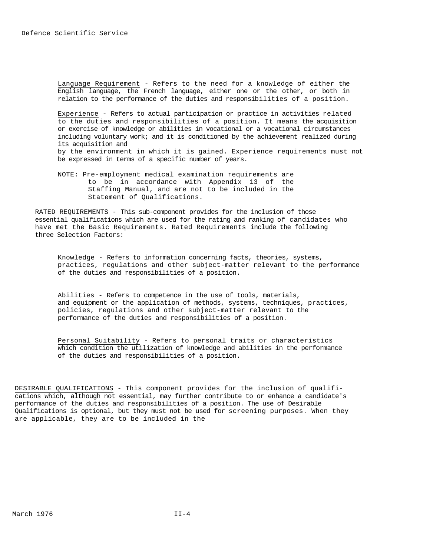Language Requirement - Refers to the need for a knowledge of either the English language, the French language, either one or the other, or both in relation to the performance of the duties and responsibilities of a position.

Experience - Refers to actual participation or practice in activities related to the duties and responsibilities of a position. It means the acquisition or exercise of knowledge or abilities in vocational or a vocational circumstances including voluntary work; and it is conditioned by the achievement realized during its acquisition and by the environment in which it is gained. Experience requirements must not be expressed in terms of a specific number of years.

NOTE: Pre-employment medical examination requirements are to be in accordance with Appendix 13 of the Staffing Manual, and are not to be included in the Statement of Qualifications.

RATED REQUIREMENTS - This sub-component provides for the inclusion of those essential qualifications which are used for the rating and ranking of candidates who have met the Basic Requirements. Rated Requirements include the following three Selection Factors:

Knowledge - Refers to information concerning facts, theories, systems, practices, regulations and other subject-matter relevant to the performance of the duties and responsibilities of a position.

Abilities - Refers to competence in the use of tools, materials, and equipment or the application of methods, systems, techniques, practices, policies, regulations and other subject-matter relevant to the performance of the duties and responsibilities of a position.

Personal Suitability - Refers to personal traits or characteristics which condition the utilization of knowledge and abilities in the performance of the duties and responsibilities of a position.

DESIRABLE QUALIFICATIONS - This component provides for the inclusion of qualifications which, although not essential, may further contribute to or enhance a candidate's performance of the duties and responsibilities of a position. The use of Desirable Qualifications is optional, but they must not be used for screening purposes. When they are applicable, they are to be included in the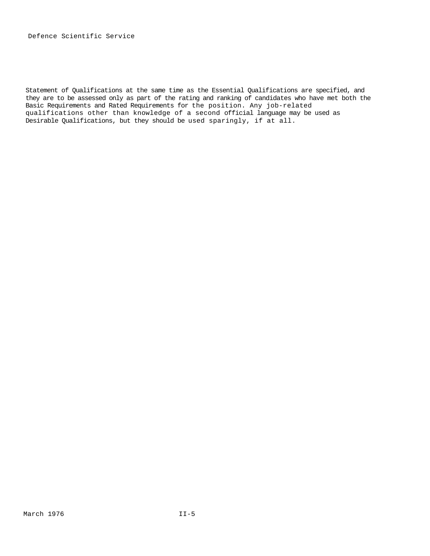Statement of Qualifications at the same time as the Essential Qualifications are specified, and they are to be assessed only as part of the rating and ranking of candidates who have met both the Basic Requirements and Rated Requirements for the position. Any job-related qualifications other than knowledge of a second official language may be used as Desirable Qualifications, but they should be used sparingly, if at all.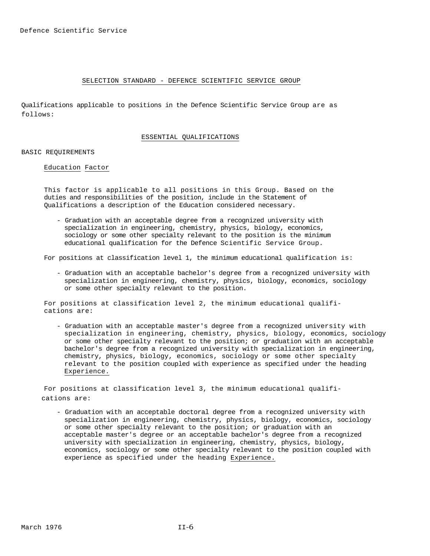#### SELECTION STANDARD - DEFENCE SCIENTIFIC SERVICE GROUP

Qualifications applicable to positions in the Defence Scientific Service Group are as follows:

#### ESSENTIAL QUALIFICATIONS

#### BASIC REQUIREMENTS

#### Education Factor

This factor is applicable to all positions in this Group. Based on the duties and responsibilities of the position, include in the Statement of Qualifications a description of the Education considered necessary.

- Graduation with an acceptable degree from a recognized university with specialization in engineering, chemistry, physics, biology, economics, sociology or some other specialty relevant to the position is the minimum educational qualification for the Defence Scientific Service Group.

For positions at classification level 1, the minimum educational qualification is:

- Graduation with an acceptable bachelor's degree from a recognized university with specialization in engineering, chemistry, physics, biology, economics, sociology or some other specialty relevant to the position.

For positions at classification level 2, the minimum educational qualifications are:

- Graduation with an acceptable master's degree from a recognized university with specialization in engineering, chemistry, physics, biology, economics, sociology or some other specialty relevant to the position; or graduation with an acceptable bachelor's degree from a recognized university with specialization in engineering, chemistry, physics, biology, economics, sociology or some other specialty relevant to the position coupled with experience as specified under the heading Experience.

For positions at classification level 3, the minimum educational qualifications are:

- Graduation with an acceptable doctoral degree from a recognized university with specialization in engineering, chemistry, physics, biology, economics, sociology or some other specialty relevant to the position; or graduation with an acceptable master's degree or an acceptable bachelor's degree from a recognized university with specialization in engineering, chemistry, physics, biology, economics, sociology or some other specialty relevant to the position coupled with experience as specified under the heading Experience.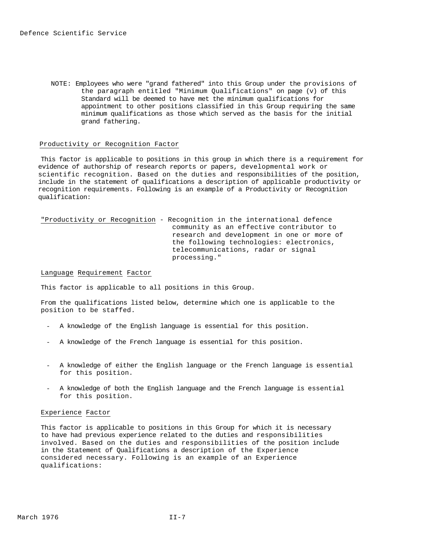NOTE: Employees who were "grand fathered" into this Group under the provisions of the paragraph entitled "Minimum Qualifications" on page (v) of this Standard will be deemed to have met the minimum qualifications for appointment to other positions classified in this Group requiring the same minimum qualifications as those which served as the basis for the initial grand fathering.

#### Productivity or Recognition Factor

This factor is applicable to positions in this group in which there is a requirement for evidence of authorship of research reports or papers, developmental work or scientific recognition. Based on the duties and responsibilities of the position, include in the statement of qualifications a description of applicable productivity or recognition requirements. Following is an example of a Productivity or Recognition qualification:

"Productivity or Recognition - Recognition in the international defence community as an effective contributor to research and development in one or more of the following technologies: electronics, telecommunications, radar or signal processing."

#### Language Requirement Factor

This factor is applicable to all positions in this Group.

From the qualifications listed below, determine which one is applicable to the position to be staffed.

- A knowledge of the English language is essential for this position.
- A knowledge of the French language is essential for this position.
- A knowledge of either the English language or the French language is essential for this position.
- A knowledge of both the English language and the French language is essential for this position.

#### Experience Factor

This factor is applicable to positions in this Group for which it is necessary to have had previous experience related to the duties and responsibilities involved. Based on the duties and responsibilities of the position include in the Statement of Qualifications a description of the Experience considered necessary. Following is an example of an Experience qualifications: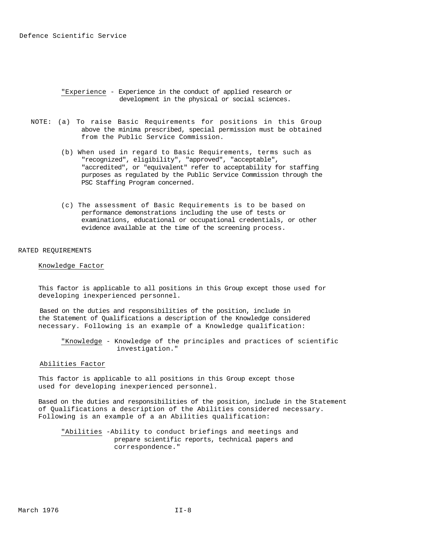"Experience - Experience in the conduct of applied research or development in the physical or social sciences.

- NOTE: (a) To raise Basic Requirements for positions in this Group above the minima prescribed, special permission must be obtained from the Public Service Commission.
	- (b) When used in regard to Basic Requirements, terms such as "recognized", eligibility", "approved", "acceptable", "accredited", or "equivalent" refer to acceptability for staffing purposes as regulated by the Public Service Commission through the PSC Staffing Program concerned.
	- (c) The assessment of Basic Requirements is to be based on performance demonstrations including the use of tests or examinations, educational or occupational credentials, or other evidence available at the time of the screening process.

#### RATED REQUIREMENTS

# Knowledge Factor

This factor is applicable to all positions in this Group except those used for developing inexperienced personnel.

Based on the duties and responsibilities of the position, include in the Statement of Qualifications a description of the Knowledge considered necessary. Following is an example of a Knowledge qualification:

"Knowledge - Knowledge of the principles and practices of scientific investigation."

#### Abilities Factor

This factor is applicable to all positions in this Group except those used for developing inexperienced personnel.

Based on the duties and responsibilities of the position, include in the Statement of Qualifications a description of the Abilities considered necessary. Following is an example of a an Abilities qualification:

"Abilities -Ability to conduct briefings and meetings and prepare scientific reports, technical papers and correspondence."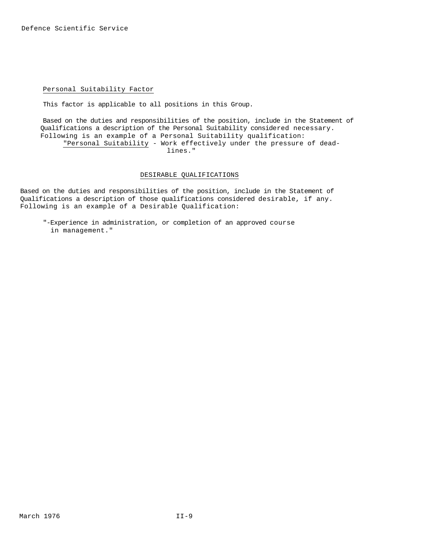## Personal Suitability Factor

This factor is applicable to all positions in this Group.

Based on the duties and responsibilities of the position, include in the Statement of Qualifications a description of the Personal Suitability considered necessary. Following is an example of a Personal Suitability qualification: "Personal Suitability - Work effectively under the pressure of deadlines."

### DESIRABLE QUALIFICATIONS

Based on the duties and responsibilities of the position, include in the Statement of Qualifications a description of those qualifications considered desirable, if any. Following is an example of a Desirable Qualification:

"-Experience in administration, or completion of an approved course in management."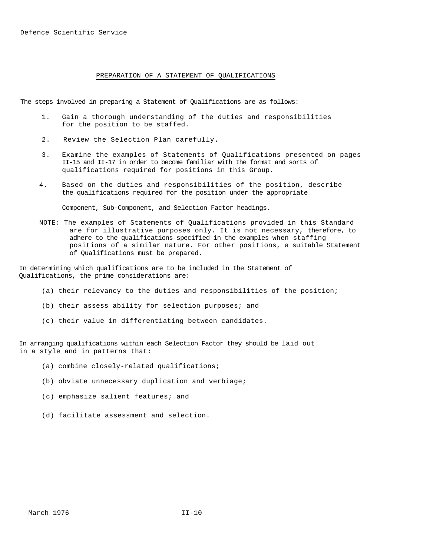### PREPARATION OF A STATEMENT OF QUALIFICATIONS

The steps involved in preparing a Statement of Qualifications are as follows:

- 1. Gain a thorough understanding of the duties and responsibilities for the position to be staffed.
- 2. Review the Selection Plan carefully.
- 3. Examine the examples of Statements of Qualifications presented on pages II-15 and II-17 in order to become familiar with the format and sorts of qualifications required for positions in this Group.
- 4. Based on the duties and responsibilities of the position, describe the qualifications required for the position under the appropriate

Component, Sub-Component, and Selection Factor headings.

NOTE: The examples of Statements of Qualifications provided in this Standard are for illustrative purposes only. It is not necessary, therefore, to adhere to the qualifications specified in the examples when staffing positions of a similar nature. For other positions, a suitable Statement of Qualifications must be prepared.

In determining which qualifications are to be included in the Statement of Qualifications, the prime considerations are:

- (a) their relevancy to the duties and responsibilities of the position;
- (b) their assess ability for selection purposes; and
- (c) their value in differentiating between candidates.

In arranging qualifications within each Selection Factor they should be laid out in a style and in patterns that:

- (a) combine closely-related qualifications;
- (b) obviate unnecessary duplication and verbiage;
- (c) emphasize salient features; and
- (d) facilitate assessment and selection.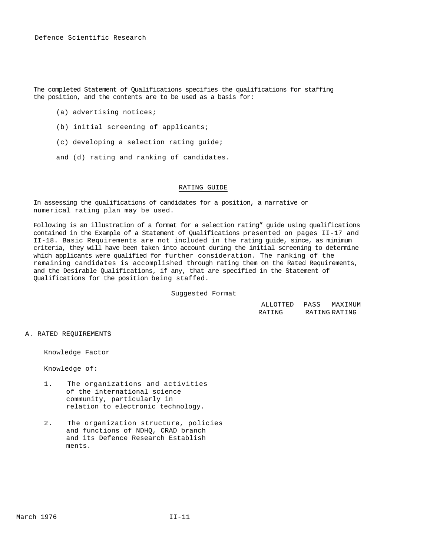Defence Scientific Research

The completed Statement of Qualifications specifies the qualifications for staffing the position, and the contents are to be used as a basis for:

- (a) advertising notices;
- (b) initial screening of applicants;
- (c) developing a selection rating guide;
- and (d) rating and ranking of candidates.

#### RATING GUIDE

In assessing the qualifications of candidates for a position, a narrative or numerical rating plan may be used.

Following is an illustration of a format for a selection rating" guide using qualifications contained in the Example of a Statement of Qualifications presented on pages II-17 and II-18. Basic Requirements are not included in the rating guide, since, as minimum criteria, they will have been taken into account during the initial screening to determine which applicants were qualified for further consideration. The ranking of the remaining candidates is accomplished through rating them on the Rated Requirements, and the Desirable Qualifications, if any, that are specified in the Statement of Qualifications for the position being staffed.

Suggested Format

ALLOTTED PASS MAXIMUM RATING RATING RATING

A. RATED REQUIREMENTS

Knowledge Factor

Knowledge of:

- 1. The organizations and activities of the international science community, particularly in relation to electronic technology.
- 2. The organization structure, policies and functions of NDHQ, CRAD branch and its Defence Research Establish ments.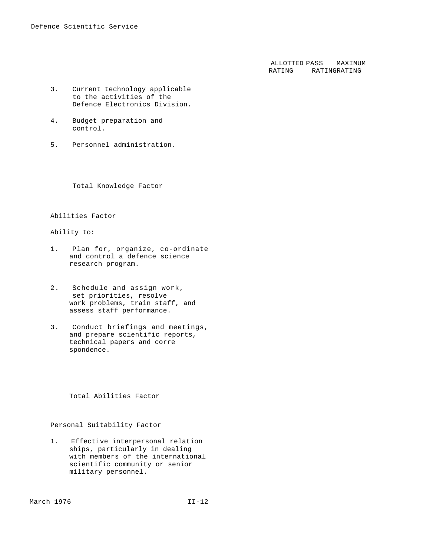ALLOTTED PASS RATING RATING RATING MAXIMUM

- 3. Current technology applicable to the activities of the Defence Electronics Division.
- 4. Budget preparation and control.
- 5. Personnel administration.

Total Knowledge Factor

# Abilities Factor

## Ability to:

- 1. Plan for, organize, co-ordinate and control a defence science research program.
- 2. Schedule and assign work, set priorities, resolve work problems, train staff, and assess staff performance.
- 3. Conduct briefings and meetings, and prepare scientific reports, technical papers and corre spondence.

Total Abilities Factor

# Personal Suitability Factor

1. Effective interpersonal relation ships, particularly in dealing with members of the international scientific community or senior military personnel.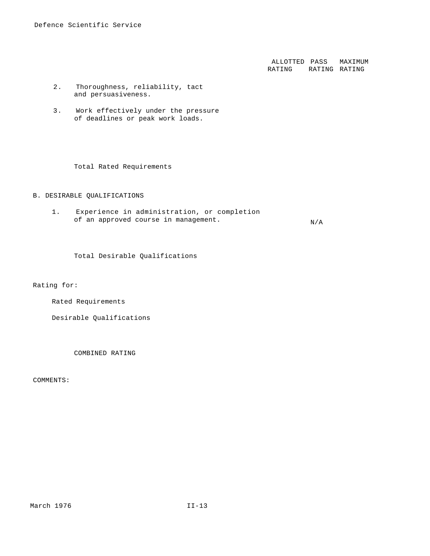ALLOTTED PASS MAXIMUM RATING RATING RATING

- 2. Thoroughness, reliability, tact and persuasiveness.
- 3. Work effectively under the pressure of deadlines or peak work loads.

Total Rated Requirements

## B. DESIRABLE QUALIFICATIONS

1. Experience in administration, or completion of an approved course in management.  $N/A$ 

Total Desirable Qualifications

Rating for:

Rated Requirements

Desirable Qualifications

COMBINED RATING

COMMENTS: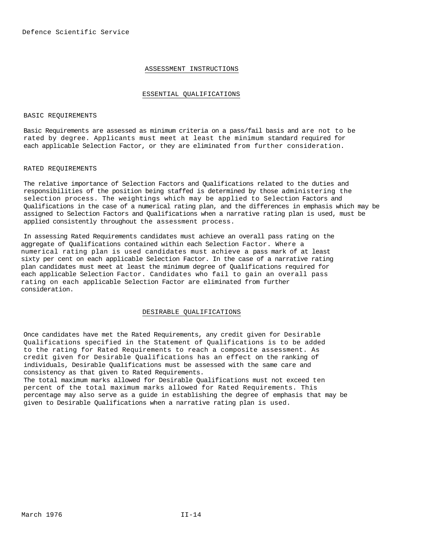# ASSESSMENT INSTRUCTIONS

#### ESSENTIAL QUALIFICATIONS

#### BASIC REQUIREMENTS

Basic Requirements are assessed as minimum criteria on a pass/fail basis and are not to be rated by degree. Applicants must meet at least the minimum standard required for each applicable Selection Factor, or they are eliminated from further consideration.

#### RATED REQUIREMENTS

The relative importance of Selection Factors and Qualifications related to the duties and responsibilities of the position being staffed is determined by those administering the selection process. The weightings which may be applied to Selection Factors and Qualifications in the case of a numerical rating plan, and the differences in emphasis which may be assigned to Selection Factors and Qualifications when a narrative rating plan is used, must be applied consistently throughout the assessment process.

In assessing Rated Requirements candidates must achieve an overall pass rating on the aggregate of Qualifications contained within each Selection Factor. Where a numerical rating plan is used candidates must achieve a pass mark of at least sixty per cent on each applicable Selection Factor. In the case of a narrative rating plan candidates must meet at least the minimum degree of Qualifications required for each applicable Selection Factor. Candidates who fail to gain an overall pass rating on each applicable Selection Factor are eliminated from further consideration.

#### DESIRABLE QUALIFICATIONS

Once candidates have met the Rated Requirements, any credit given for Desirable Qualifications specified in the Statement of Qualifications is to be added to the rating for Rated Requirements to reach a composite assessment. As credit given for Desirable Qualifications has an effect on the ranking of individuals, Desirable Qualifications must be assessed with the same care and consistency as that given to Rated Requirements.

The total maximum marks allowed for Desirable Qualifications must not exceed ten percent of the total maximum marks allowed for Rated Requirements. This percentage may also serve as a guide in establishing the degree of emphasis that may be given to Desirable Qualifications when a narrative rating plan is used.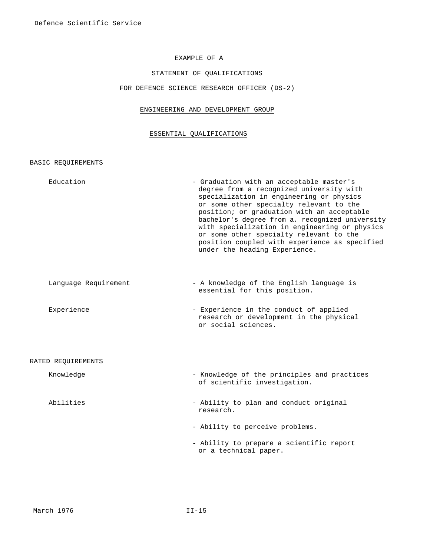# EXAMPLE OF A

# STATEMENT OF QUALIFICATIONS

## FOR DEFENCE SCIENCE RESEARCH OFFICER (DS-2)

# ENGINEERING AND DEVELOPMENT GROUP

#### ESSENTIAL QUALIFICATIONS

BASIC REQUIREMENTS

Education - Graduation with an acceptable master's degree from a recognized university with specialization in engineering or physics or some other specialty relevant to the position; or graduation with an acceptable bachelor's degree from a. recognized university with specialization in engineering or physics or some other specialty relevant to the position coupled with experience as specified under the heading Experience. Language Requirement - A knowledge of the English language is essential for this position. Experience - Experience in the conduct of applied research or development in the physical or social sciences.

#### RATED REQUIREMENTS

- Knowledge Knowledge Knowledge of the principles and practices of scientific investigation.
- Abilities Ability to plan and conduct original research.
	- Ability to perceive problems.
	- Ability to prepare a scientific report or a technical paper.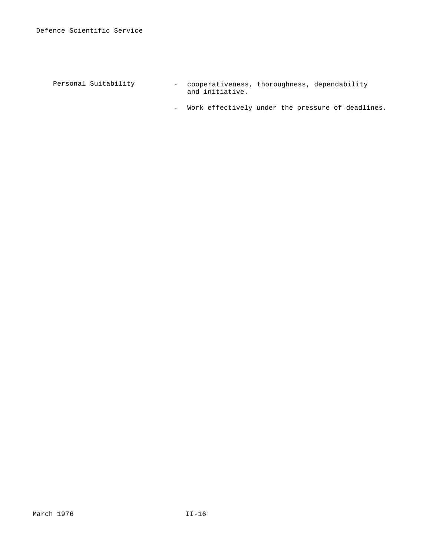Personal Suitability - cooperativeness, thoroughness, dependability and initiative.

- Work effectively under the pressure of deadlines.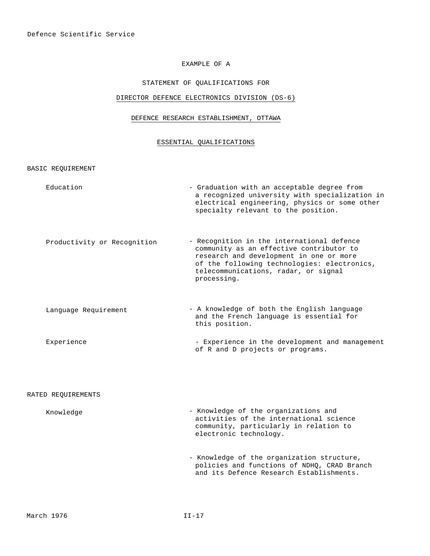# EXAMPLE OF A

# STATEMENT OF QUALIFICATIONS FOR

# DIRECTOR DEFENCE ELECTRONICS DIVISION (DS-6)

# DEFENCE RESEARCH ESTABLISHMENT, OTTAWA

# ESSENTIAL QUALIFICATIONS

BASIC REQUIREMENT

| Education                   | - Graduation with an acceptable degree from<br>a recognized university with specialization in<br>electrical engineering, physics or some other<br>specialty relevant to the position.                                                   |
|-----------------------------|-----------------------------------------------------------------------------------------------------------------------------------------------------------------------------------------------------------------------------------------|
| Productivity or Recognition | - Recognition in the international defence<br>community as an effective contributor to<br>research and development in one or more<br>of the following technologies: electronics,<br>telecommunications, radar, or signal<br>processing. |
| Language Requirement        | - A knowledge of both the English language<br>and the French language is essential for<br>this position.                                                                                                                                |
| Experience                  | - Experience in the development and management<br>of R and D projects or programs.                                                                                                                                                      |
| RATED REOUIREMENTS          |                                                                                                                                                                                                                                         |
| Knowledge                   | - Knowledge of the organizations and<br>activities of the international science<br>community, particularly in relation to<br>electronic technology.                                                                                     |
|                             | - Knowledge of the organization structure,<br>policies and functions of NDHQ, CRAD Branch<br>and its Defence Research Establishments.                                                                                                   |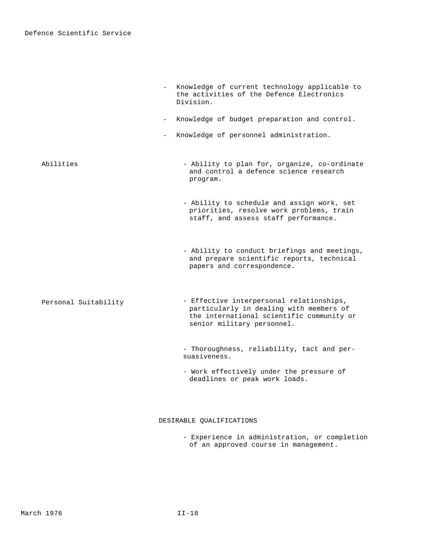|                      | Knowledge of current technology applicable to<br>the activities of the Defence Electronics<br>Division.                                                        |
|----------------------|----------------------------------------------------------------------------------------------------------------------------------------------------------------|
| $\sim$ 100 $\mu$     | Knowledge of budget preparation and control.                                                                                                                   |
|                      | Knowledge of personnel administration.                                                                                                                         |
| Abilities            | - Ability to plan for, organize, co-ordinate<br>and control a defence science research<br>program.                                                             |
|                      | - Ability to schedule and assign work, set<br>priorities, resolve work problems, train<br>staff, and assess staff performance.                                 |
|                      | - Ability to conduct briefings and meetings,<br>and prepare scientific reports, technical<br>papers and correspondence.                                        |
| Personal Suitability | - Effective interpersonal relationships,<br>particularly in dealing with members of<br>the international scientific community or<br>senior military personnel. |
|                      | - Thoroughness, reliability, tact and per-<br>suasiveness.                                                                                                     |
|                      | - Work effectively under the pressure of<br>deadlines or peak work loads.                                                                                      |

# DESIRABLE QUALIFICATIONS

- Experience in administration, or completion of an approved course in management.